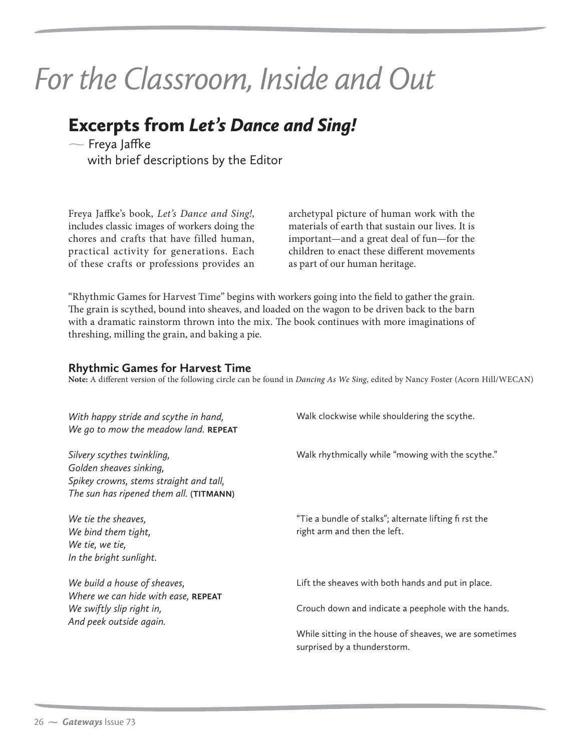## *For the Classroom, Inside and Out*

## Excerpts from *Let's Dance and Sing!* -

 $\sim$  Freya Jaffke with brief descriptions by the Editor

Freya Jaffke's book, Let's Dance and Sing!, includes classic images of workers doing the chores and crafts that have filled human, practical activity for generations. Each of these crafts or professions provides an archetypal picture of human work with the materials of earth that sustain our lives. It is important—and a great deal of fun—for the children to enact these different movements as part of our human heritage.

"Rhythmic Games for Harvest Time" begins with workers going into the field to gather the grain. The grain is scythed, bound into sheaves, and loaded on the wagon to be driven back to the barn with a dramatic rainstorm thrown into the mix. The book continues with more imaginations of threshing, milling the grain, and baking a pie.

## **Rhythmic Games for Harvest Time**

**Note:** A different version of the following circle can be found in Dancing As We Sing, edited by Nancy Foster (Acorn Hill/WECAN)

| With happy stride and scythe in hand,<br>We go to mow the meadow land. REPEAT                                                               | Walk clockwise while shouldering the scythe.                                            |
|---------------------------------------------------------------------------------------------------------------------------------------------|-----------------------------------------------------------------------------------------|
| Silvery scythes twinkling,<br>Golden sheaves sinking,<br>Spikey crowns, stems straight and tall,<br>The sun has ripened them all. (TITMANN) | Walk rhythmically while "mowing with the scythe."                                       |
| We tie the sheaves,<br>We bind them tight,<br>We tie, we tie,<br>In the bright sunlight.                                                    | "Tie a bundle of stalks"; alternate lifting fi rst the<br>right arm and then the left.  |
| We build a house of sheaves,<br>Where we can hide with ease, REPEAT                                                                         | Lift the sheaves with both hands and put in place.                                      |
| We swiftly slip right in,<br>And peek outside again.                                                                                        | Crouch down and indicate a peephole with the hands.                                     |
|                                                                                                                                             | While sitting in the house of sheaves, we are sometimes<br>surprised by a thunderstorm. |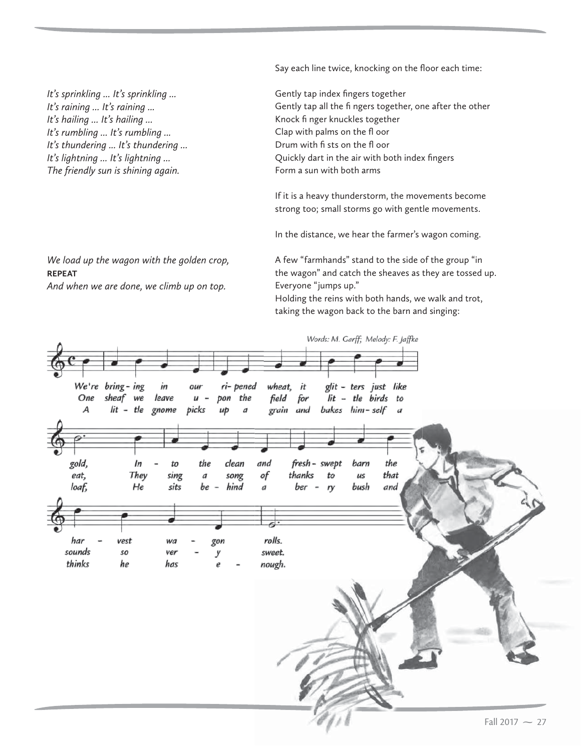Say each line twice, knocking on the floor each time:

*It's sprinkling ... It's sprinkling ... It's raining ... It's raining ... It's hailing ... It's hailing ... It's rumbling ... It's rumbling ... It's thundering ... It's thundering ... It's lightning ... It's lightning ... The friendly sun is shining again.*

*We load up the wagon with the golden crop,*

*And when we are done, we climb up on top.*

**REPEAT**

Gently tap index fingers together Gently tap all the fi ngers together, one after the other Knock fi nger knuckles together Clap with palms on the fl oor Drum with fi sts on the fl oor Quickly dart in the air with both index fingers Form a sun with both arms

If it is a heavy thunderstorm, the movements become strong too; small storms go with gentle movements.

In the distance, we hear the farmer's wagon coming.

A few "farmhands" stand to the side of the group "in the wagon" and catch the sheaves as they are tossed up. Everyone "jumps up."

Holding the reins with both hands, we walk and trot, taking the wagon back to the barn and singing: